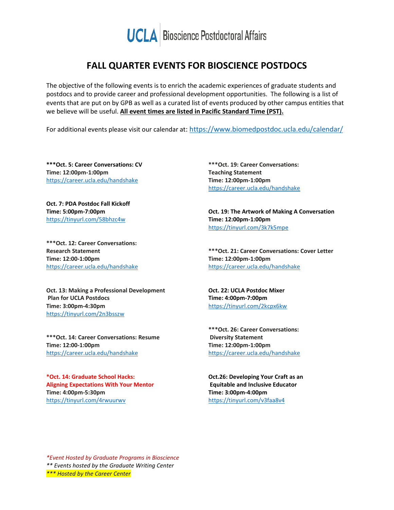

## **FALL QUARTER EVENTS FOR BIOSCIENCE POSTDOCS**

The objective of the following events is to enrich the academic experiences of graduate students and postdocs and to provide career and professional development opportunities. The following is a list of events that are put on by GPB as well as a curated list of events produced by other campus entities that we believe will be useful. **All event times are listed in Pacific Standard Time (PST).**

For additional events please visit our calendar at:<https://www.biomedpostdoc.ucla.edu/calendar/>

**\*\*\*Oct. 5: Career Conversations: CV Time: 12:00pm-1:00pm** <https://career.ucla.edu/handshake>

**Oct. 7: PDA Postdoc Fall Kickoff Time: 5:00pm-7:00pm** <https://tinyurl.com/58bhzc4w>

**\*\*\*Oct. 12: Career Conversations: Research Statement Time: 12:00-1:00pm** <https://career.ucla.edu/handshake>

**Oct. 13: Making a Professional Development Plan for UCLA Postdocs Time: 3:00pm-4:30pm** <https://tinyurl.com/2n3bsszw>

**\*\*\*Oct. 14: Career Conversations: Resume Time: 12:00-1:00pm** <https://career.ucla.edu/handshake>

**\*Oct. 14: Graduate School Hacks: Aligning Expectations With Your Mentor Time: 4:00pm-5:30pm** <https://tinyurl.com/4rwuurwv>

**\*\*\*Oct. 19: Career Conversations: Teaching Statement Time: 12:00pm-1:00pm** <https://career.ucla.edu/handshake>

**Oct. 19: The Artwork of Making A Conversation Time: 12:00pm-1:00pm** <https://tinyurl.com/3k7k5mpe>

**\*\*\*Oct. 21: Career Conversations: Cover Letter Time: 12:00pm-1:00pm** <https://career.ucla.edu/handshake>

**Oct. 22: UCLA Postdoc Mixer Time: 4:00pm-7:00pm** <https://tinyurl.com/2kcpx6kw>

**\*\*\*Oct. 26: Career Conversations: Diversity Statement Time: 12:00pm-1:00pm** <https://career.ucla.edu/handshake>

**Oct.26: Developing Your Craft as an Equitable and Inclusive Educator Time: 3:00pm-4:00pm** <https://tinyurl.com/v3faa8v4>

*\*Event Hosted by Graduate Programs in Bioscience \*\* Events hosted by the Graduate Writing Center \*\*\* Hosted by the Career Center*